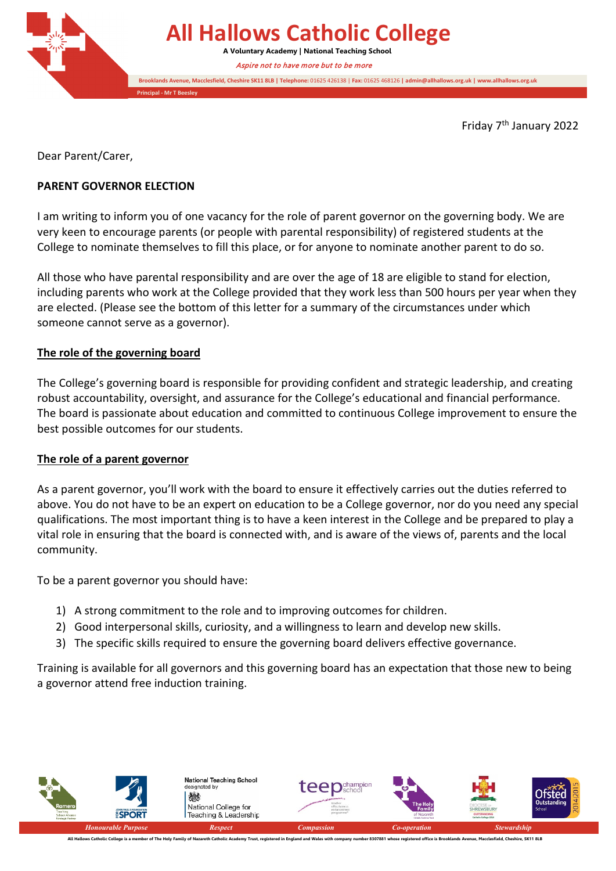

Friday 7th January 2022

Dear Parent/Carer,

#### **PARENT GOVERNOR ELECTION**

I am writing to inform you of one vacancy for the role of parent governor on the governing body. We are very keen to encourage parents (or people with parental responsibility) of registered students at the College to nominate themselves to fill this place, or for anyone to nominate another parent to do so.

All those who have parental responsibility and are over the age of 18 are eligible to stand for election, including parents who work at the College provided that they work less than 500 hours per year when they are elected. (Please see the bottom of this letter for a summary of the circumstances under which someone cannot serve as a governor).

#### **The role of the governing board**

The College's governing board is responsible for providing confident and strategic leadership, and creating robust accountability, oversight, and assurance for the College's educational and financial performance. The board is passionate about education and committed to continuous College improvement to ensure the best possible outcomes for our students.

#### **The role of a parent governor**

As a parent governor, you'll work with the board to ensure it effectively carries out the duties referred to above. You do not have to be an expert on education to be a College governor, nor do you need any special qualifications. The most important thing is to have a keen interest in the College and be prepared to play a vital role in ensuring that the board is connected with, and is aware of the views of, parents and the local community.

To be a parent governor you should have:

- 1) A strong commitment to the role and to improving outcomes for children.
- 2) Good interpersonal skills, curiosity, and a willingness to learn and develop new skills.
- 3) The specific skills required to ensure the governing board delivers effective governance.

Training is available for all governors and this governing board has an expectation that those new to being a governor attend free induction training.

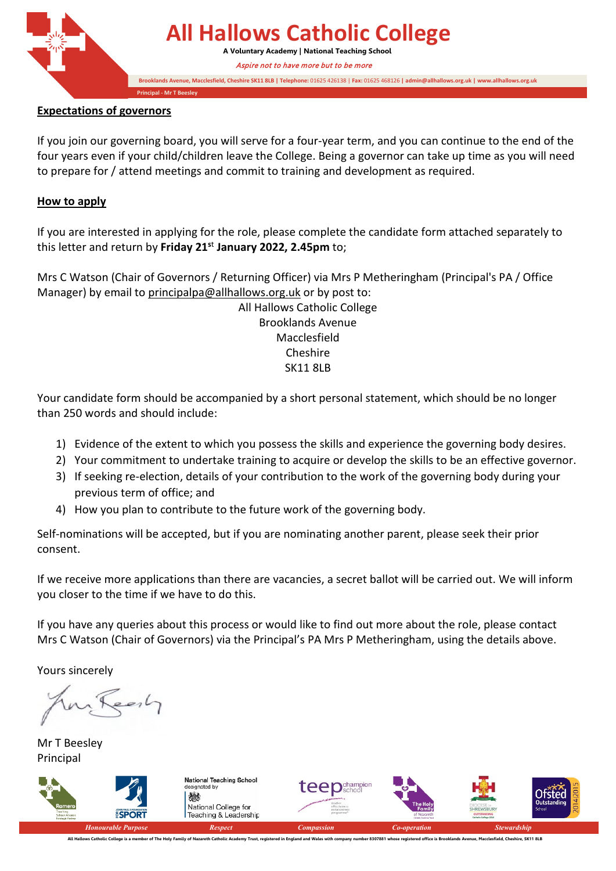

# **All Hallows Catholic College**

**A Voluntary Academy | National Teaching School** Aspire not to have more but to be more

**Brooklands Avenue, Macclesfield, Cheshire SK11 8LB | Telephone:** 01625 426138 | **Fax:** 01625 468126 **| admin@allhallows.org.uk | www.allhallows.org.uk**

**Principal - Mr T Beesley**

#### **Expectations of governors**

If you join our governing board, you will serve for a four-year term, and you can continue to the end of the four years even if your child/children leave the College. Being a governor can take up time as you will need to prepare for / attend meetings and commit to training and development as required.

### **How to apply**

If you are interested in applying for the role, please complete the candidate form attached separately to this letter and return by **Friday 21s**<sup>t</sup> **January 2022, 2.45pm** to;

Mrs C Watson (Chair of Governors / Returning Officer) via Mrs P Metheringham (Principal's PA / Office Manager) by email to [principalpa@allhallows.org.uk](mailto:principalpa@allhallows.org.uk) or by post to:

All Hallows Catholic College Brooklands Avenue Macclesfield Cheshire SK11 8LB

Your candidate form should be accompanied by a short personal statement, which should be no longer than 250 words and should include:

- 1) Evidence of the extent to which you possess the skills and experience the governing body desires.
- 2) Your commitment to undertake training to acquire or develop the skills to be an effective governor.
- 3) If seeking re-election, details of your contribution to the work of the governing body during your previous term of office; and
- 4) How you plan to contribute to the future work of the governing body.

Self-nominations will be accepted, but if you are nominating another parent, please seek their prior consent.

If we receive more applications than there are vacancies, a secret ballot will be carried out. We will inform you closer to the time if we have to do this.

If you have any queries about this process or would like to find out more about the role, please contact Mrs C Watson (Chair of Governors) via the Principal's PA Mrs P Metheringham, using the details above.

Yours sincerely

early

Mr T Beesley Principal

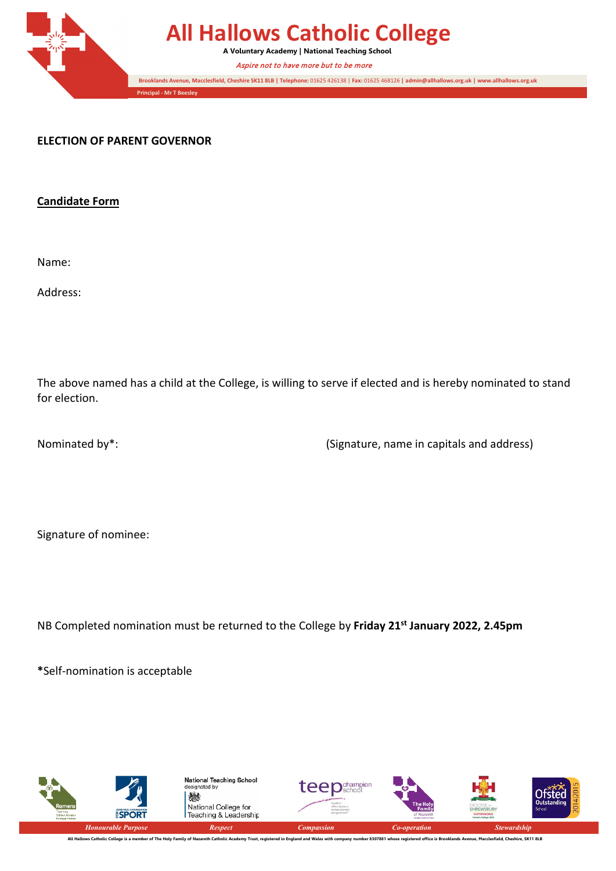

## **All Hallows Catholic College**

**A Voluntary Academy | National Teaching School**

Aspire not to have more but to be more

**Brooklands Avenue, Macclesfield, Cheshire SK11 8LB | Telephone:** 01625 426138 | **Fax:** 01625 468126 **| admin@allhallows.org.uk | www.allhallows.org.uk**

**ELECTION OF PARENT GOVERNOR**

**Candidate Form**

Name:

Address:

The above named has a child at the College, is willing to serve if elected and is hereby nominated to stand for election.

Nominated by\*: (Signature, name in capitals and address)

Signature of nominee:

NB Completed nomination must be returned to the College by **Friday 21st January 2022, 2.45pm**

**\***Self-nomination is acceptable